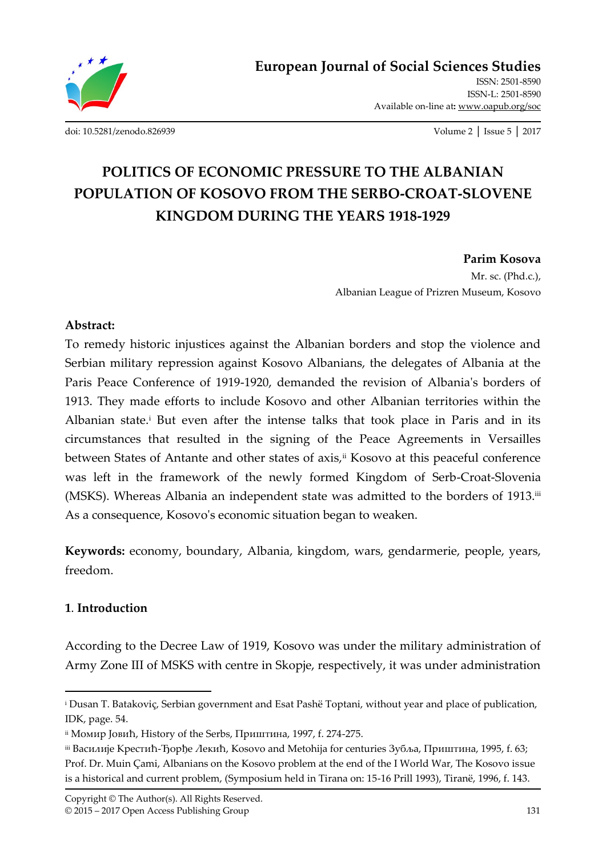

ISSN: 2501-8590 ISSN-L: 2501-8590 Available on-line at**:** www.oapub.org/soc

[doi: 10.5281/zenodo.826939](http://dx.doi.org/10.5281/zenodo.826939) Volume 2 │ Issue 5 │ 2017

# **POLITICS OF ECONOMIC PRESSURE TO THE ALBANIAN POPULATION OF KOSOVO FROM THE SERBO-CROAT-SLOVENE KINGDOM DURING THE YEARS 1918-1929**

**Parim Kosova**  Mr. sc. (Phd.c.), Albanian League of Prizren Museum, Kosovo

### **Abstract:**

To remedy historic injustices against the Albanian borders and stop the violence and Serbian military repression against Kosovo Albanians, the delegates of Albania at the Paris Peace Conference of 1919-1920, demanded the revision of Albania's borders of 1913. They made efforts to include Kosovo and other Albanian territories within the Albanian state.<sup>i</sup> But even after the intense talks that took place in Paris and in its circumstances that resulted in the signing of the Peace Agreements in Versailles between States of Antante and other states of axis,<sup>ii</sup> Kosovo at this peaceful conference was left in the framework of the newly formed Kingdom of Serb-Croat-Slovenia (MSKS). Whereas Albania an independent state was admitted to the borders of 1913.iii As a consequence, Kosovo's economic situation began to weaken.

**Keywords:** economy, boundary, Albania, kingdom, wars, gendarmerie, people, years, freedom.

## **1**. **Introduction**

 $\overline{\phantom{a}}$ 

According to the Decree Law of 1919, Kosovo was under the military administration of Army Zone III of MSKS with centre in Skopje, respectively, it was under administration

<sup>&</sup>lt;sup>i</sup> Dusan T. Batakoviç, Serbian government and Esat Pashë Toptani, without year and place of publication, IDK, page. 54.

ii Момир Јовић, History of the Serbs, Приштина, 1997, f. 274-275.

iii Василије Крестић-Ђорђе Лекић, Kosovo and Metohija for centuries Зубља, Приштина, 1995, f. 63; Prof. Dr. Muin Çami, Albanians on the Kosovo problem at the end of the I World War, The Kosovo issue is a historical and current problem, (Symposium held in Tirana on: 15-16 Prill 1993), Tiranë, 1996, f. 143.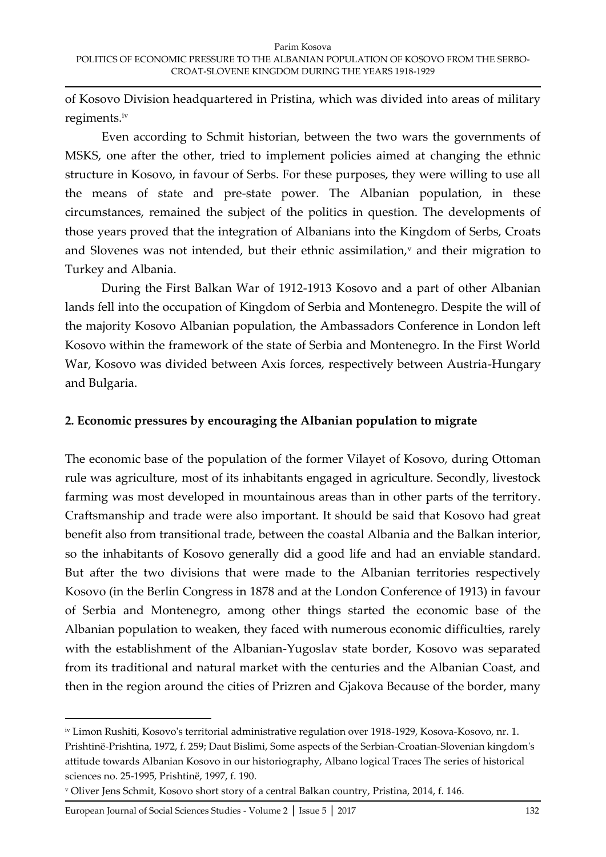of Kosovo Division headquartered in Pristina, which was divided into areas of military regiments.iv

Even according to Schmit historian, between the two wars the governments of MSKS, one after the other, tried to implement policies aimed at changing the ethnic structure in Kosovo, in favour of Serbs. For these purposes, they were willing to use all the means of state and pre-state power. The Albanian population, in these circumstances, remained the subject of the politics in question. The developments of those years proved that the integration of Albanians into the Kingdom of Serbs, Croats and Slovenes was not intended, but their ethnic assimilation,<sup>v</sup> and their migration to Turkey and Albania.

During the First Balkan War of 1912-1913 Kosovo and a part of other Albanian lands fell into the occupation of Kingdom of Serbia and Montenegro. Despite the will of the majority Kosovo Albanian population, the Ambassadors Conference in London left Kosovo within the framework of the state of Serbia and Montenegro. In the First World War, Kosovo was divided between Axis forces, respectively between Austria-Hungary and Bulgaria.

## **2. Economic pressures by encouraging the Albanian population to migrate**

The economic base of the population of the former Vilayet of Kosovo, during Ottoman rule was agriculture, most of its inhabitants engaged in agriculture. Secondly, livestock farming was most developed in mountainous areas than in other parts of the territory. Craftsmanship and trade were also important. It should be said that Kosovo had great benefit also from transitional trade, between the coastal Albania and the Balkan interior, so the inhabitants of Kosovo generally did a good life and had an enviable standard. But after the two divisions that were made to the Albanian territories respectively Kosovo (in the Berlin Congress in 1878 and at the London Conference of 1913) in favour of Serbia and Montenegro, among other things started the economic base of the Albanian population to weaken, they faced with numerous economic difficulties, rarely with the establishment of the Albanian-Yugoslav state border, Kosovo was separated from its traditional and natural market with the centuries and the Albanian Coast, and then in the region around the cities of Prizren and Gjakova Because of the border, many

European Journal of Social Sciences Studies - Volume 2 | Issue 5 | 2017 132

 $\overline{a}$ 

iv Limon Rushiti, Kosovo's territorial administrative regulation over 1918-1929, Kosova-Kosovo, nr. 1. Prishtinë-Prishtina, 1972, f. 259; Daut Bislimi, Some aspects of the Serbian-Croatian-Slovenian kingdom's attitude towards Albanian Kosovo in our historiography, Albano logical Traces The series of historical sciences no. 25-1995, Prishtinë, 1997, f. 190.

<sup>v</sup> Oliver Jens Schmit, Kosovo short story of a central Balkan country, Pristina, 2014, f. 146.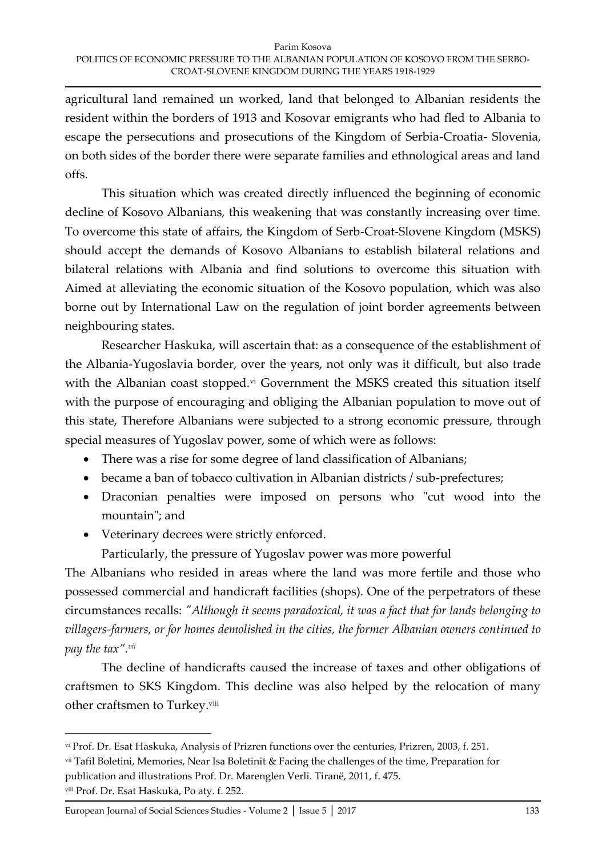agricultural land remained un worked, land that belonged to Albanian residents the resident within the borders of 1913 and Kosovar emigrants who had fled to Albania to escape the persecutions and prosecutions of the Kingdom of Serbia-Croatia- Slovenia, on both sides of the border there were separate families and ethnological areas and land offs.

This situation which was created directly influenced the beginning of economic decline of Kosovo Albanians, this weakening that was constantly increasing over time. To overcome this state of affairs, the Kingdom of Serb-Croat-Slovene Kingdom (MSKS) should accept the demands of Kosovo Albanians to establish bilateral relations and bilateral relations with Albania and find solutions to overcome this situation with Aimed at alleviating the economic situation of the Kosovo population, which was also borne out by International Law on the regulation of joint border agreements between neighbouring states.

Researcher Haskuka, will ascertain that: as a consequence of the establishment of the Albania-Yugoslavia border, over the years, not only was it difficult, but also trade with the Albanian coast stopped.<sup>vi</sup> Government the MSKS created this situation itself with the purpose of encouraging and obliging the Albanian population to move out of this state, Therefore Albanians were subjected to a strong economic pressure, through special measures of Yugoslav power, some of which were as follows:

- There was a rise for some degree of land classification of Albanians;
- became a ban of tobacco cultivation in Albanian districts / sub-prefectures;
- Draconian penalties were imposed on persons who "cut wood into the mountain"; and
- Veterinary decrees were strictly enforced.

Particularly, the pressure of Yugoslav power was more powerful

The Albanians who resided in areas where the land was more fertile and those who possessed commercial and handicraft facilities (shops). One of the perpetrators of these circumstances recalls: *"Although it seems paradoxical, it was a fact that for lands belonging to villagers-farmers, or for homes demolished in the cities, the former Albanian owners continued to pay the tax".vii*

The decline of handicrafts caused the increase of taxes and other obligations of craftsmen to SKS Kingdom. This decline was also helped by the relocation of many other craftsmen to Turkey.<sup>viii</sup>

vi Prof. Dr. Esat Haskuka, Analysis of Prizren functions over the centuries, Prizren, 2003, f. 251.

vii Tafil Boletini, Memories, Near Isa Boletinit & Facing the challenges of the time, Preparation for publication and illustrations Prof. Dr. Marenglen Verli. Tiranë, 2011, f. 475.

viii Prof. Dr. Esat Haskuka, Po aty. f. 252.

European Journal of Social Sciences Studies - Volume 2 │ Issue 5 │ 2017 133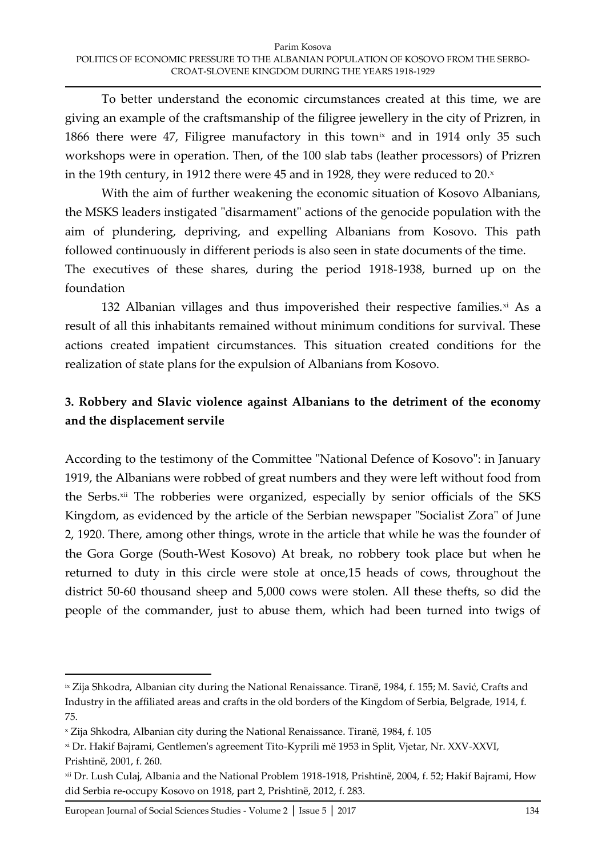To better understand the economic circumstances created at this time, we are giving an example of the craftsmanship of the filigree jewellery in the city of Prizren, in 1866 there were 47, Filigree manufactory in this town<sup>ix</sup> and in 1914 only 35 such workshops were in operation. Then, of the 100 slab tabs (leather processors) of Prizren in the 19th century, in 1912 there were 45 and in 1928, they were reduced to  $20.$ <sup>x</sup>

With the aim of further weakening the economic situation of Kosovo Albanians, the MSKS leaders instigated "disarmament" actions of the genocide population with the aim of plundering, depriving, and expelling Albanians from Kosovo. This path followed continuously in different periods is also seen in state documents of the time. The executives of these shares, during the period 1918-1938, burned up on the foundation

132 Albanian villages and thus impoverished their respective families. $x_i$  As a result of all this inhabitants remained without minimum conditions for survival. These actions created impatient circumstances. This situation created conditions for the realization of state plans for the expulsion of Albanians from Kosovo.

## **3. Robbery and Slavic violence against Albanians to the detriment of the economy and the displacement servile**

According to the testimony of the Committee "National Defence of Kosovo": in January 1919, the Albanians were robbed of great numbers and they were left without food from the Serbs.<sup>xii</sup> The robberies were organized, especially by senior officials of the SKS Kingdom, as evidenced by the article of the Serbian newspaper "Socialist Zora" of June 2, 1920. There, among other things, wrote in the article that while he was the founder of the Gora Gorge (South-West Kosovo) At break, no robbery took place but when he returned to duty in this circle were stole at once,15 heads of cows, throughout the district 50-60 thousand sheep and 5,000 cows were stolen. All these thefts, so did the people of the commander, just to abuse them, which had been turned into twigs of

<sup>&</sup>lt;sup>ix</sup> Zija Shkodra, Albanian city during the National Renaissance. Tiranë, 1984, f. 155; M. Savić, Crafts and Industry in the affiliated areas and crafts in the old borders of the Kingdom of Serbia, Belgrade, 1914, f. 75.

<sup>x</sup> Zija Shkodra, Albanian city during the National Renaissance. Tiranë, 1984, f. 105

xi Dr. Hakif Bajrami, Gentlemen's agreement Tito-Kyprili më 1953 in Split, Vjetar, Nr. XXV-XXVI, Prishtinë, 2001, f. 260.

xii Dr. Lush Culaj, Albania and the National Problem 1918-1918, Prishtinë, 2004, f. 52; Hakif Bajrami, How did Serbia re-occupy Kosovo on 1918, part 2, Prishtinë, 2012, f. 283.

European Journal of Social Sciences Studies - Volume 2 │ Issue 5 │ 2017 134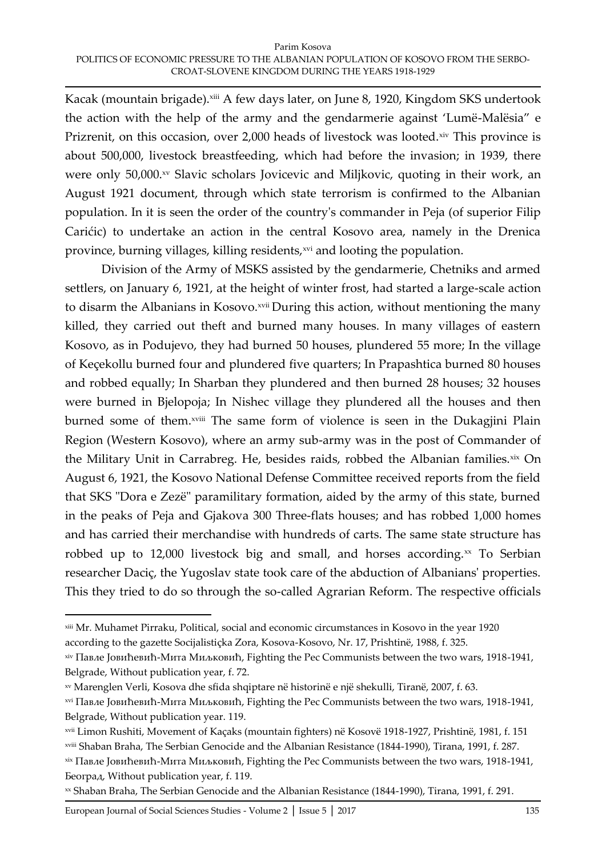Kacak (mountain brigade).<sup>xiii</sup> A few days later, on June 8, 1920, Kingdom SKS undertook the action with the help of the army and the gendarmerie against 'Lumë-Malësia' e Prizrenit, on this occasion, over  $2,000$  heads of livestock was looted. $x^{\text{iv}}$  This province is about 500,000, livestock breastfeeding, which had before the invasion; in 1939, there were only 50,000.xv Slavic scholars Jovicevic and Miljkovic, quoting in their work, an August 1921 document, through which state terrorism is confirmed to the Albanian population. In it is seen the order of the country's commander in Peja (of superior Filip Carićic) to undertake an action in the central Kosovo area, namely in the Drenica province, burning villages, killing residents, xvi and looting the population.

Division of the Army of MSKS assisted by the gendarmerie, Chetniks and armed settlers, on January 6, 1921, at the height of winter frost, had started a large-scale action to disarm the Albanians in Kosovo.<sup>xvii</sup> During this action, without mentioning the many killed, they carried out theft and burned many houses. In many villages of eastern Kosovo, as in Podujevo, they had burned 50 houses, plundered 55 more; In the village of Keçekollu burned four and plundered five quarters; In Prapashtica burned 80 houses and robbed equally; In Sharban they plundered and then burned 28 houses; 32 houses were burned in Bjelopoja; In Nishec village they plundered all the houses and then burned some of them.<sup>xviii</sup> The same form of violence is seen in the Dukagjini Plain Region (Western Kosovo), where an army sub-army was in the post of Commander of the Military Unit in Carrabreg. He, besides raids, robbed the Albanian families.xix On August 6, 1921, the Kosovo National Defense Committee received reports from the field that SKS "Dora e Zezë" paramilitary formation, aided by the army of this state, burned in the peaks of Peja and Gjakova 300 Three-flats houses; and has robbed 1,000 homes and has carried their merchandise with hundreds of carts. The same state structure has robbed up to  $12,000$  livestock big and small, and horses according. $\infty$  To Serbian researcher Daciç, the Yugoslav state took care of the abduction of Albanians' properties. This they tried to do so through the so-called Agrarian Reform. The respective officials

xiii Mr. Muhamet Pirraku, Political, social and economic circumstances in Kosovo in the year 1920 according to the gazette Socijalistiçka Zora, Kosova-Kosovo, Nr. 17, Prishtinë, 1988, f. 325.

xiv Павле Јовићевић-Мита Миљковић, Fighting the Pec Communists between the two wars, 1918-1941, Belgrade, Without publication year, f. 72.

xv Marenglen Verli, Kosova dhe sfida shqiptare në historinë e një shekulli, Tiranë, 2007, f. 63.

xvi Павле Јовићевић-Мита Миљковић, Fighting the Pec Communists between the two wars, 1918-1941, Belgrade, Without publication year. 119.

xvii Limon Rushiti, Movement of Kaçaks (mountain fighters) në Kosovë 1918-1927, Prishtinë, 1981, f. 151

xviii Shaban Braha, The Serbian Genocide and the Albanian Resistance (1844-1990), Tirana, 1991, f. 287.

xix Павле Јовићевић-Мита Миљковић, Fighting the Pec Communists between the two wars, 1918-1941, Београд, Without publication year, f. 119.

xx Shaban Braha, The Serbian Genocide and the Albanian Resistance (1844-1990), Tirana, 1991, f. 291.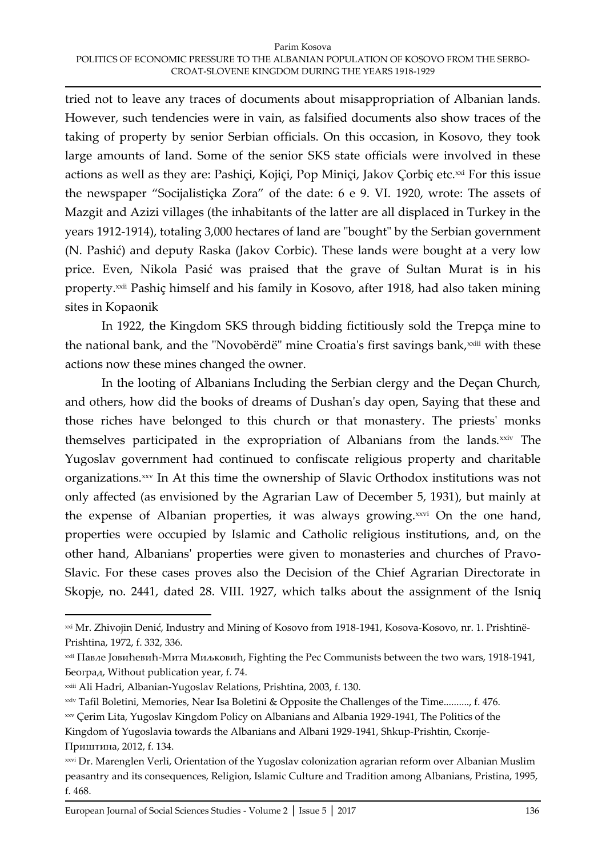#### Parim Kosova POLITICS OF ECONOMIC PRESSURE TO THE ALBANIAN POPULATION OF KOSOVO FROM THE SERBO-CROAT-SLOVENE KINGDOM DURING THE YEARS 1918-1929

tried not to leave any traces of documents about misappropriation of Albanian lands. However, such tendencies were in vain, as falsified documents also show traces of the taking of property by senior Serbian officials. On this occasion, in Kosovo, they took large amounts of land. Some of the senior SKS state officials were involved in these actions as well as they are: Pashiçi, Kojiçi, Pop Miniçi, Jakov Çorbiç etc.<sup>xxi</sup> For this issue the newspaper 'Socijalistiçka Zora' of the date: 6 e 9. VI. 1920, wrote: The assets of Mazgit and Azizi villages (the inhabitants of the latter are all displaced in Turkey in the years 1912-1914), totaling 3,000 hectares of land are "bought" by the Serbian government (N. Pashić) and deputy Raska (Jakov Corbic). These lands were bought at a very low price. Even, Nikola Pasić was praised that the grave of Sultan Murat is in his property.<sup>xxii</sup> Pashiç himself and his family in Kosovo, after 1918, had also taken mining sites in Kopaonik

In 1922, the Kingdom SKS through bidding fictitiously sold the Trepça mine to the national bank, and the "Novobërdë" mine Croatia's first savings bank, xxiii with these actions now these mines changed the owner.

In the looting of Albanians Including the Serbian clergy and the Deçan Church, and others, how did the books of dreams of Dushan's day open, Saying that these and those riches have belonged to this church or that monastery. The priests' monks themselves participated in the expropriation of Albanians from the lands.<sup>xxiv</sup> The Yugoslav government had continued to confiscate religious property and charitable organizations.<sup>xxv</sup> In At this time the ownership of Slavic Orthodox institutions was not only affected (as envisioned by the Agrarian Law of December 5, 1931), but mainly at the expense of Albanian properties, it was always growing.<sup>xxvi</sup> On the one hand, properties were occupied by Islamic and Catholic religious institutions, and, on the other hand, Albanians' properties were given to monasteries and churches of Pravo-Slavic. For these cases proves also the Decision of the Chief Agrarian Directorate in Skopje, no. 2441, dated 28. VIII. 1927, which talks about the assignment of the Isniq

xxi Mr. Zhivojin Denić, Industry and Mining of Kosovo from 1918-1941, Kosova-Kosovo, nr. 1. Prishtinë-Prishtina, 1972, f. 332, 336.

xxii Павле Јовићевић-Мита Миљковић, Fighting the Pec Communists between the two wars, 1918-1941, Београд, Without publication year, f. 74.

xxiii Ali Hadri, Albanian-Yugoslav Relations, Prishtina, 2003, f. 130.

xxiv Tafil Boletini, Memories, Near Isa Boletini & Opposite the Challenges of the Time.........., f. 476.

xxv Çerim Lita, Yugoslav Kingdom Policy on Albanians and Albania 1929-1941, The Politics of the Kingdom of Yugoslavia towards the Albanians and Albani 1929-1941, Shkup-Prishtin, Скопје-Приштина, 2012, f. 134.

xxvi Dr. Marenglen Verli, Orientation of the Yugoslav colonization agrarian reform over Albanian Muslim peasantry and its consequences, Religion, Islamic Culture and Tradition among Albanians, Pristina, 1995, f. 468.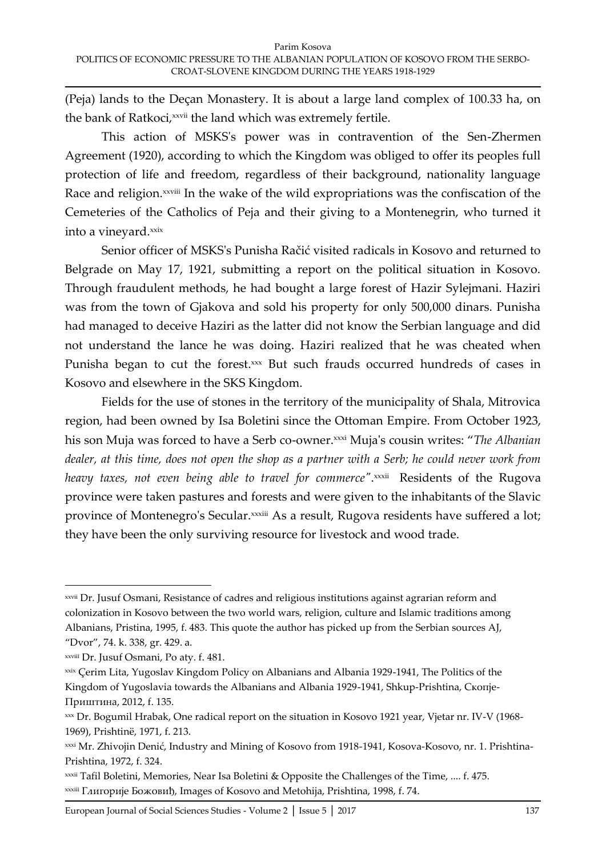(Peja) lands to the Deçan Monastery. It is about a large land complex of 100.33 ha, on the bank of Ratkoci, xxvii the land which was extremely fertile.

This action of MSKS's power was in contravention of the Sen-Zhermen Agreement (1920), according to which the Kingdom was obliged to offer its peoples full protection of life and freedom, regardless of their background, nationality language Race and religion.<sup>xxviii</sup> In the wake of the wild expropriations was the confiscation of the Cemeteries of the Catholics of Peja and their giving to a Montenegrin, who turned it into a vineyard.xxix

Senior officer of MSKS's Punisha Račić visited radicals in Kosovo and returned to Belgrade on May 17, 1921, submitting a report on the political situation in Kosovo. Through fraudulent methods, he had bought a large forest of Hazir Sylejmani. Haziri was from the town of Gjakova and sold his property for only 500,000 dinars. Punisha had managed to deceive Haziri as the latter did not know the Serbian language and did not understand the lance he was doing. Haziri realized that he was cheated when Punisha began to cut the forest.xxx But such frauds occurred hundreds of cases in Kosovo and elsewhere in the SKS Kingdom.

Fields for the use of stones in the territory of the municipality of Shala, Mitrovica region, had been owned by Isa Boletini since the Ottoman Empire. From October 1923, his son Muja was forced to have a Serb co-owner.<sup>xxxi</sup> Muja's cousin writes: "The Albanian *dealer, at this time, does not open the shop as a partner with a Serb; he could never work from*  heavy taxes, not even being able to travel for commerce".××פi Residents of the Rugova province were taken pastures and forests and were given to the inhabitants of the Slavic province of Montenegro's Secular. *xxxiii* As a result, Rugova residents have suffered a lot; they have been the only surviving resource for livestock and wood trade.

xxvii Dr. Jusuf Osmani, Resistance of cadres and religious institutions against agrarian reform and colonization in Kosovo between the two world wars, religion, culture and Islamic traditions among Albanians, Pristina, 1995, f. 483. This quote the author has picked up from the Serbian sources AJ, 'Dvor', 74. k. 338, gr. 429. a.

xxviii Dr. Jusuf Osmani, Po aty. f. 481.

xxix Çerim Lita, Yugoslav Kingdom Policy on Albanians and Albania 1929-1941, The Politics of the Kingdom of Yugoslavia towards the Albanians and Albania 1929-1941, Shkup-Prishtina, Скопје-Приштина, 2012, f. 135.

xxx Dr. Bogumil Hrabak, One radical report on the situation in Kosovo 1921 year, Vjetar nr. IV-V (1968- 1969), Prishtinë, 1971, f. 213.

xxxi Mr. Zhivojin Denić, Industry and Mining of Kosovo from 1918-1941, Kosova-Kosovo, nr. 1. Prishtina-Prishtina, 1972, f. 324.

xxxii Tafil Boletini, Memories, Near Isa Boletini & Opposite the Challenges of the Time, .... f. 475. xxxiii Глигорије Божовиђ, Images of Kosovo and Metohija, Prishtina, 1998, f. 74.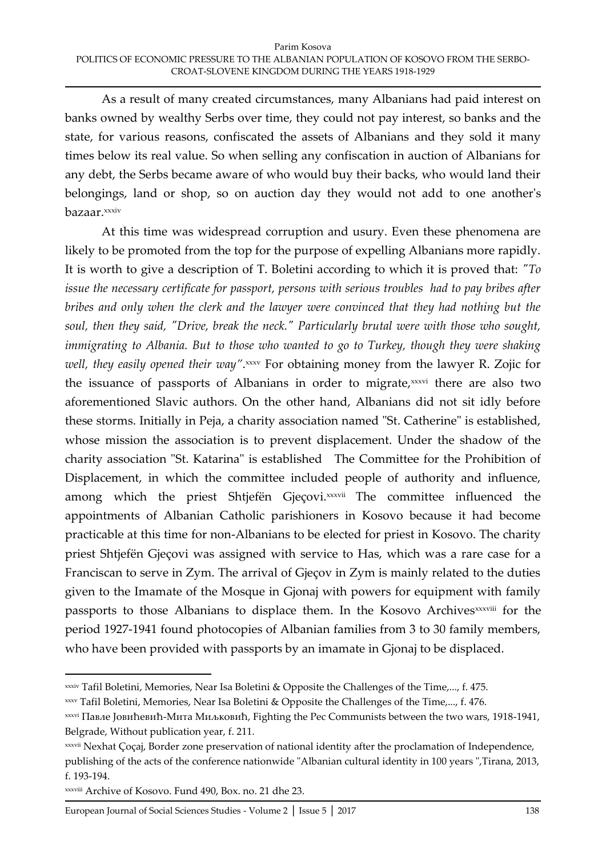As a result of many created circumstances, many Albanians had paid interest on banks owned by wealthy Serbs over time, they could not pay interest, so banks and the state, for various reasons, confiscated the assets of Albanians and they sold it many times below its real value. So when selling any confiscation in auction of Albanians for any debt, the Serbs became aware of who would buy their backs, who would land their belongings, land or shop, so on auction day they would not add to one another's bazaar.xxxiv

At this time was widespread corruption and usury. Even these phenomena are likely to be promoted from the top for the purpose of expelling Albanians more rapidly. It is worth to give a description of T. Boletini according to which it is proved that: *"To issue the necessary certificate for passport, persons with serious troubles had to pay bribes after bribes and only when the clerk and the lawyer were convinced that they had nothing but the soul, then they said, "Drive, break the neck." Particularly brutal were with those who sought, immigrating to Albania. But to those who wanted to go to Turkey, though they were shaking*  well, they easily opened their way".×××× For obtaining money from the lawyer R. Zojic for the issuance of passports of Albanians in order to migrate,<sup>xxxvi</sup> there are also two aforementioned Slavic authors. On the other hand, Albanians did not sit idly before these storms. Initially in Peja, a charity association named "St. Catherine" is established, whose mission the association is to prevent displacement. Under the shadow of the charity association "St. Katarina" is established The Committee for the Prohibition of Displacement, in which the committee included people of authority and influence, among which the priest Shtjefën Gjeçovi.<sup>xxxvii</sup> The committee influenced the appointments of Albanian Catholic parishioners in Kosovo because it had become practicable at this time for non-Albanians to be elected for priest in Kosovo. The charity priest Shtjefën Gjeçovi was assigned with service to Has, which was a rare case for a Franciscan to serve in Zym. The arrival of Gjeçov in Zym is mainly related to the duties given to the Imamate of the Mosque in Gjonaj with powers for equipment with family passports to those Albanians to displace them. In the Kosovo Archives<sup>xxxviii</sup> for the period 1927-1941 found photocopies of Albanian families from 3 to 30 family members, who have been provided with passports by an imamate in Gjonaj to be displaced.

xxxiv Tafil Boletini, Memories, Near Isa Boletini & Opposite the Challenges of the Time,..., f. 475.

xxxv Tafil Boletini, Memories, Near Isa Boletini & Opposite the Challenges of the Time,..., f. 476.

xxxvi Павле Јовићевић-Мита Миљковић, Fighting the Pec Communists between the two wars, 1918-1941, Belgrade, Without publication year, f. 211.

xxxvii Nexhat Çoçaj, Border zone preservation of national identity after the proclamation of Independence, publishing of the acts of the conference nationwide "Albanian cultural identity in 100 years ",Tirana, 2013, f. 193-194.

xxxviii Archive of Kosovo. Fund 490, Box. no. 21 dhe 23.

European Journal of Social Sciences Studies - Volume 2 | Issue 5 | 2017 138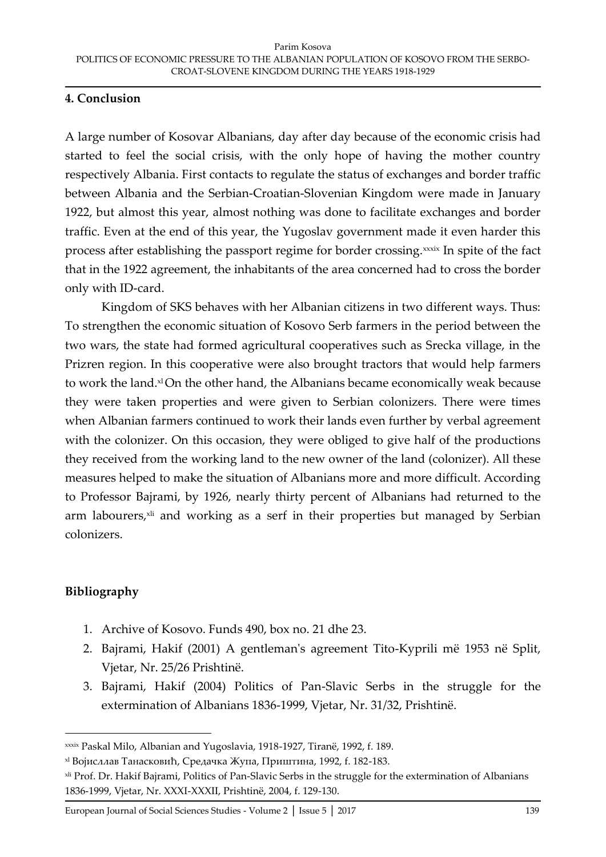## **4. Conclusion**

A large number of Kosovar Albanians, day after day because of the economic crisis had started to feel the social crisis, with the only hope of having the mother country respectively Albania. First contacts to regulate the status of exchanges and border traffic between Albania and the Serbian-Croatian-Slovenian Kingdom were made in January 1922, but almost this year, almost nothing was done to facilitate exchanges and border traffic. Even at the end of this year, the Yugoslav government made it even harder this process after establishing the passport regime for border crossing.<sup>xxxix</sup> In spite of the fact that in the 1922 agreement, the inhabitants of the area concerned had to cross the border only with ID-card.

Kingdom of SKS behaves with her Albanian citizens in two different ways. Thus: To strengthen the economic situation of Kosovo Serb farmers in the period between the two wars, the state had formed agricultural cooperatives such as Srecka village, in the Prizren region. In this cooperative were also brought tractors that would help farmers to work the land.<sup>xl</sup>On the other hand, the Albanians became economically weak because they were taken properties and were given to Serbian colonizers. There were times when Albanian farmers continued to work their lands even further by verbal agreement with the colonizer. On this occasion, they were obliged to give half of the productions they received from the working land to the new owner of the land (colonizer). All these measures helped to make the situation of Albanians more and more difficult. According to Professor Bajrami, by 1926, nearly thirty percent of Albanians had returned to the arm labourers, xli and working as a serf in their properties but managed by Serbian colonizers.

## **Bibliography**

- 1. Archive of Kosovo. Funds 490, box no. 21 dhe 23.
- 2. Bajrami, Hakif (2001) A gentleman's agreement Tito-Kyprili më 1953 në Split, Vjetar, Nr. 25/26 Prishtinë.
- 3. Bajrami, Hakif (2004) Politics of Pan-Slavic Serbs in the struggle for the extermination of Albanians 1836-1999, Vjetar, Nr. 31/32, Prishtinë.

xxxix Paskal Milo, Albanian and Yugoslavia, 1918-1927, Tiranë, 1992, f. 189.

xl Војисллав Танасковић, Средачка Жупа, Приштина, 1992, f. 182-183.

xli Prof. Dr. Hakif Bajrami, Politics of Pan-Slavic Serbs in the struggle for the extermination of Albanians 1836-1999, Vjetar, Nr. XXXI-XXXII, Prishtinë, 2004, f. 129-130.

European Journal of Social Sciences Studies - Volume 2 │ Issue 5 │ 2017 139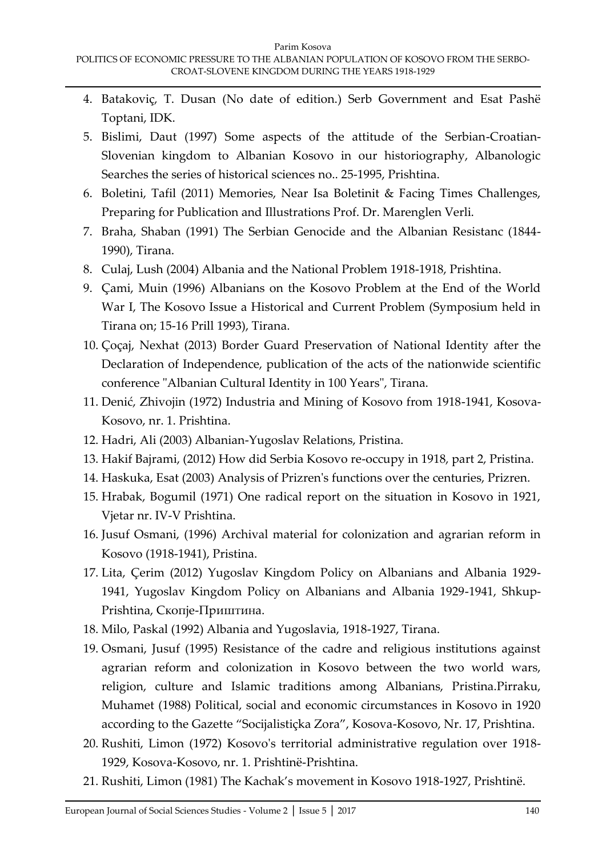- 4. Batakoviç, T. Dusan (No date of edition.) Serb Government and Esat Pashë Toptani, IDK.
- 5. Bislimi, Daut (1997) Some aspects of the attitude of the Serbian-Croatian-Slovenian kingdom to Albanian Kosovo in our historiography, Albanologic Searches the series of historical sciences no.. 25-1995, Prishtina.
- 6. Boletini, Tafil (2011) Memories, Near Isa Boletinit & Facing Times Challenges, Preparing for Publication and Illustrations Prof. Dr. Marenglen Verli.
- 7. Braha, Shaban (1991) The Serbian Genocide and the Albanian Resistanc (1844- 1990), Tirana.
- 8. Culaj, Lush (2004) Albania and the National Problem 1918-1918, Prishtina.
- 9. Çami, Muin (1996) Albanians on the Kosovo Problem at the End of the World War I, The Kosovo Issue a Historical and Current Problem (Symposium held in Tirana on; 15-16 Prill 1993), Tirana.
- 10. Çoçaj, Nexhat (2013) Border Guard Preservation of National Identity after the Declaration of Independence, publication of the acts of the nationwide scientific conference "Albanian Cultural Identity in 100 Years", Tirana.
- 11. Denić, Zhivojin (1972) Industria and Mining of Kosovo from 1918-1941, Kosova-Kosovo, nr. 1. Prishtina.
- 12. Hadri, Ali (2003) Albanian-Yugoslav Relations, Pristina.
- 13. Hakif Bajrami, (2012) How did Serbia Kosovo re-occupy in 1918, part 2, Pristina.
- 14. Haskuka, Esat (2003) Analysis of Prizren's functions over the centuries, Prizren.
- 15. Hrabak, Bogumil (1971) One radical report on the situation in Kosovo in 1921, Vjetar nr. IV-V Prishtina.
- 16. Jusuf Osmani, (1996) Archival material for colonization and agrarian reform in Kosovo (1918-1941), Pristina.
- 17. Lita, Çerim (2012) Yugoslav Kingdom Policy on Albanians and Albania 1929- 1941, Yugoslav Kingdom Policy on Albanians and Albania 1929-1941, Shkup-Prishtina, Скопје-Приштина.
- 18. Milo, Paskal (1992) Albania and Yugoslavia, 1918-1927, Tirana.
- 19. Osmani, Jusuf (1995) Resistance of the cadre and religious institutions against agrarian reform and colonization in Kosovo between the two world wars, religion, culture and Islamic traditions among Albanians, Pristina.Pirraku, Muhamet (1988) Political, social and economic circumstances in Kosovo in 1920 according to the Gazette 'Socijalistiçka Zora', Kosova-Kosovo, Nr. 17, Prishtina.
- 20. Rushiti, Limon (1972) Kosovo's territorial administrative regulation over 1918- 1929, Kosova-Kosovo, nr. 1. Prishtinë-Prishtina.
- 21. Rushiti, Limon (1981) The Kachak's movement in Kosovo 1918-1927, Prishtinë.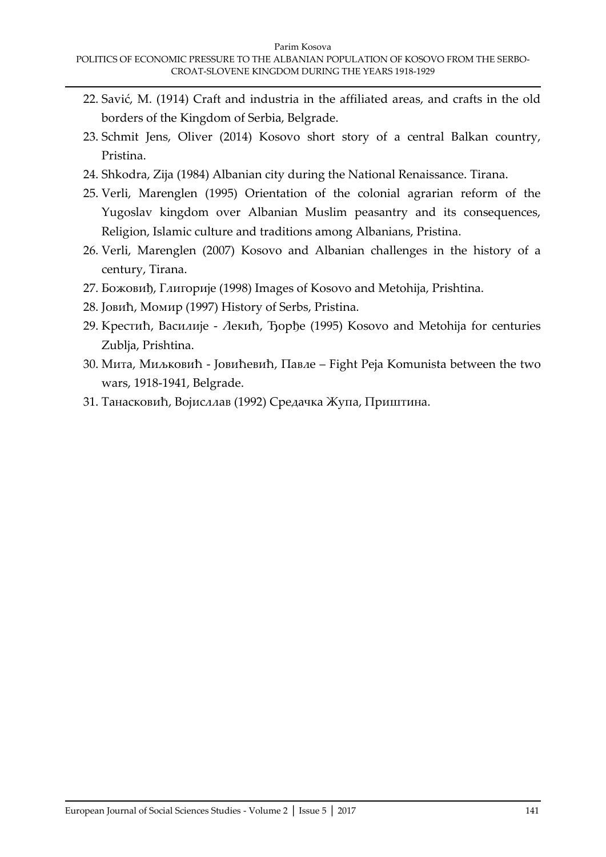- 22. Savić, M. (1914) Craft and industria in the affiliated areas, and crafts in the old borders of the Kingdom of Serbia, Belgrade.
- 23. Schmit Jens, Oliver (2014) Kosovo short story of a central Balkan country, Pristina.
- 24. Shkodra, Zija (1984) Albanian city during the National Renaissance. Tirana.
- 25. Verli, Marenglen (1995) Orientation of the colonial agrarian reform of the Yugoslav kingdom over Albanian Muslim peasantry and its consequences, Religion, Islamic culture and traditions among Albanians, Pristina.
- 26. Verli, Marenglen (2007) Kosovo and Albanian challenges in the history of a century, Tirana.
- 27. Божовиђ, Глигорије (1998) Images of Kosovo and Metohija, Prishtina.
- 28. Јовић, Момир (1997) History of Serbs, Pristina.
- 29. Крестић, Василије Лекић, Ђорђе (1995) Kosovo and Metohija for centuries Zublja, Prishtina.
- 30. Мита, Миљковић Јовићевић, Павле Fight Peja Komunista between the two wars, 1918-1941, Belgrade.
- 31. Танасковић, Војисллав (1992) Средачка Жупа, Приштинa.